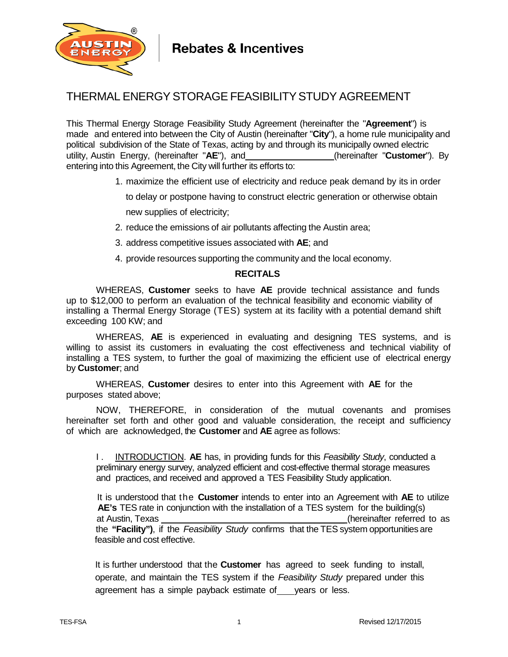

## THERMAL ENERGY STORAGE FEASIBILITYSTUDY AGREEMENT

This Thermal Energy Storage Feasibility Study Agreement (hereinafter the "**Agreement**") is made and entered into between the City of Austin (hereinafter "**City**"), a home rule municipality and political subdivision of the State of Texas, acting by and through its municipally owned electric utility, Austin Energy, (hereinafter "**AE**"), and (hereinafter "**Customer**"). By entering into this Agreement, the City will further its efforts to:

1. maximize the efficient use of electricity and reduce peak demand by its in order

to delay or postpone having to construct electric generation or otherwise obtain

new supplies of electricity;

- 2. reduce the emissions of air pollutants affecting the Austin area;
- 3. address competitive issues associated with **AE**; and
- 4. provide resources supporting the community and the local economy.

## **RECITALS**

WHEREAS, **Customer** seeks to have **AE** provide technical assistance and funds up to \$12,000 to perform an evaluation of the technical feasibility and economic viability of installing a Thermal Energy Storage (TES) system at its facility with a potential demand shift exceeding 100 KW; and

WHEREAS, **AE** is experienced in evaluating and designing TES systems, and is willing to assist its customers in evaluating the cost effectiveness and technical viability of installing a TES system, to further the goal of maximizing the efficient use of electrical energy by **Customer**; and

WHEREAS, **Customer** desires to enter into this Agreement with **AE** for the purposes stated above;

NOW, THEREFORE, in consideration of the mutual covenants and promises hereinafter set forth and other good and valuable consideration, the receipt and sufficiency of which are acknowledged, the **Customer** and **AE** agree as follows:

I . INTRODUCTION. **AE** has, in providing funds for this *Feasibility Study*, conducted a preliminary energy survey, analyzed efficient and cost-effective thermal storage measures and practices, and received and approved a TES Feasibility Study application.

 It is understood that the **Customer** intends to enter into an Agreement with **AE** to utilize  **AE's** TES rate in conjunction with the installation of a TES system for the building(s) at Austin, Texas **at Austin, Texas at Australian** at Australian extendion as the control of as a set of as a set o the **"Facility")**, if the *Feasibility Study* confirms that the TES system opportunities are feasible and cost effective.

 It is further understood that the **Customer** has agreed to seek funding to install, operate, and maintain the TES system if the *Feasibility Study* prepared under this agreement has a simple payback estimate of years or less.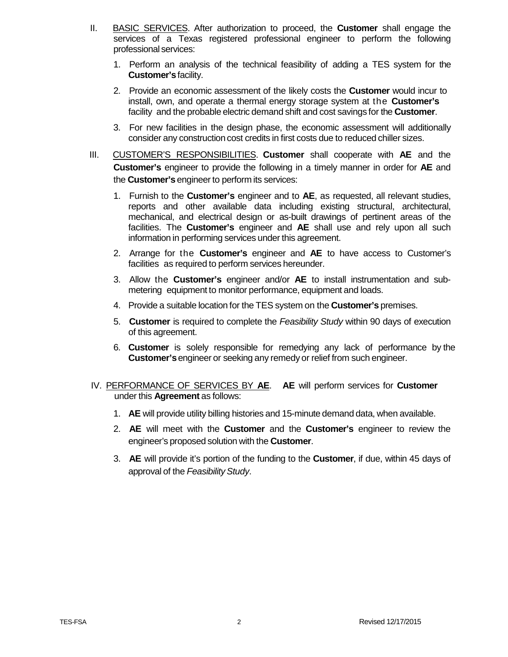- II. BASIC SERVICES. After authorization to proceed, the **Customer** shall engage the services of a Texas registered professional engineer to perform the following professional services:
	- 1. Perform an analysis of the technical feasibility of adding a TES system for the **Customer's**facility.
	- 2. Provide an economic assessment of the likely costs the **Customer** would incur to install, own, and operate a thermal energy storage system at the **Customer's** facility and the probable electric demand shift and cost savings for the **Customer**.
	- 3. For new facilities in the design phase, the economic assessment will additionally consider any construction cost credits in first costs due to reduced chiller sizes.
- III. CUSTOMER'S RESPONSIBILITIES. **Customer** shall cooperate with **AE** and the **Customer's** engineer to provide the following in a timely manner in order for **AE** and the **Customer's** engineer to perform its services:
	- 1. Furnish to the **Customer's** engineer and to **AE**, as requested, all relevant studies, reports and other available data including existing structural, architectural, mechanical, and electrical design or as-built drawings of pertinent areas of the facilities. The **Customer's** engineer and **AE** shall use and rely upon all such information in performing services under this agreement.
	- 2. Arrange for the **Customer's** engineer and **AE** to have access to Customer's facilities as required to perform services hereunder.
	- 3. Allow the **Customer's** engineer and/or **AE** to install instrumentation and submetering equipment to monitor performance, equipment and loads.
	- 4. Provide a suitable location for the TES system on the **Customer's** premises.
	- 5. **Customer** is required to complete the *Feasibility Study* within 90 days of execution of this agreement.
	- 6. **Customer** is solely responsible for remedying any lack of performance by the **Customer's**engineer or seeking any remedy or relief from such engineer.
- IV. PERFORMANCE OF SERVICES BY **AE**. **AE** will perform services for **Customer** under this **Agreement** as follows:
	- 1. **AE** will provide utility billing histories and 15-minute demand data, when available.
	- 2. **AE** will meet with the **Customer** and the **Customer's** engineer to review the engineer's proposed solution with the **Customer**.
	- 3. **AE** will provide it's portion of the funding to the **Customer**, if due, within 45 days of approval of the *FeasibilityStudy*.